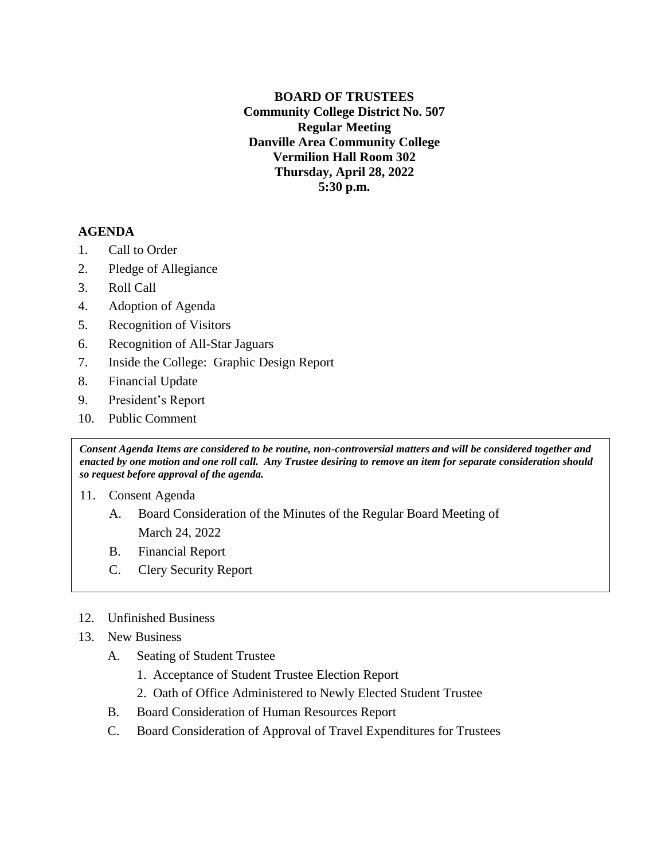**BOARD OF TRUSTEES Community College District No. 507 Regular Meeting Danville Area Community College Vermilion Hall Room 302 Thursday, April 28, 2022 5:30 p.m.**

## **AGENDA**

- 1. Call to Order
- 2. Pledge of Allegiance
- 3. Roll Call
- 4. Adoption of Agenda
- 5. Recognition of Visitors
- 6. Recognition of All-Star Jaguars
- 7. Inside the College: Graphic Design Report
- 8. Financial Update
- 9. President's Report
- 10. Public Comment

*Consent Agenda Items are considered to be routine, non-controversial matters and will be considered together and enacted by one motion and one roll call. Any Trustee desiring to remove an item for separate consideration should so request before approval of the agenda.*

- 11. Consent Agenda
	- A. Board Consideration of the Minutes of the Regular Board Meeting of March 24, 2022
	- B. Financial Report
	- C. Clery Security Report
- 12. Unfinished Business
- 13. New Business
	- A. Seating of Student Trustee
		- 1. Acceptance of Student Trustee Election Report
		- 2. Oath of Office Administered to Newly Elected Student Trustee
	- B. Board Consideration of Human Resources Report
	- C. Board Consideration of Approval of Travel Expenditures for Trustees